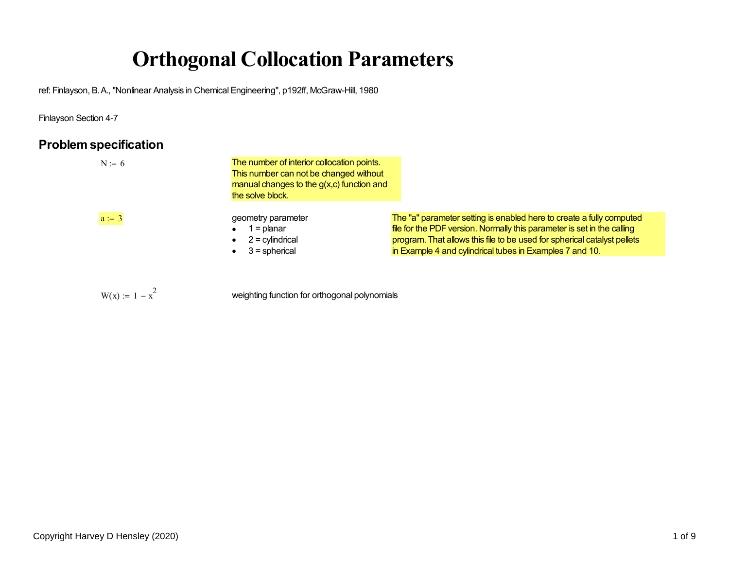# **Orthogonal Collocation Parameters**

ref: Finlayson, B. A., "Nonlinear Analysis in Chemical Engineering", p192ff, McGraw-Hill, 1980

Finlayson Section 4-7

## **Problem specification**

 $W(x) := 1 - x^2$ 

| $N := 6$ | The number of interior collocation points.<br>This number can not be changed without<br>manual changes to the $g(x,c)$ function and<br>the solve block. |                                                                                                                                                                                                                                                                                         |
|----------|---------------------------------------------------------------------------------------------------------------------------------------------------------|-----------------------------------------------------------------------------------------------------------------------------------------------------------------------------------------------------------------------------------------------------------------------------------------|
| $a := 3$ | geometry parameter<br>= planar<br>$2 =$ cylindrical<br>$3$ = spherical                                                                                  | The "a" parameter setting is enabled here to create a fully computed<br>file for the PDF version. Normally this parameter is set in the calling<br>program. That allows this file to be used for spherical catalyst pellets<br>in Example 4 and cylindrical tubes in Examples 7 and 10. |

weighting function for orthogonal polynomials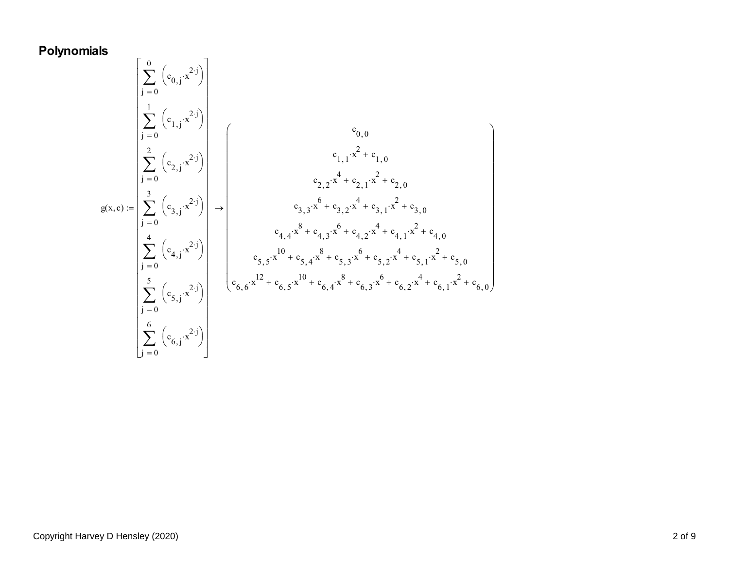## **Polynomials**

$$
g(x, c) := \begin{bmatrix} 0 & (c_{0,j} \cdot x^{2 \cdot j}) \\ \frac{1}{j} = 0 & (c_{1,j} \cdot x^{2 \cdot j}) \\ \frac{2}{j} = 0 & (c_{2,j} \cdot x^{2 \cdot j}) \\ \frac{3}{j} = 0 & (c_{3,j} \cdot x^{2 \cdot j}) \\ \frac{4}{j} = 0 & (c_{4,j} \cdot x^{2 \cdot j}) \\ \frac{5}{j} = 0 & (c_{5,j} \cdot x^{2 \cdot j}) \\ \frac{5}{j} = 0 & (c_{6,j} \cdot x^{2 \cdot j}) \\ \frac{6}{j} = 0 & (c_{6,j} \cdot x^{2 \cdot j}) \end{bmatrix} \rightarrow \begin{bmatrix} c_{0,0} \\ c_{1,1} \cdot x^{2} + c_{1,0} \\ c_{2,2} \cdot x^{4} + c_{2,1} \cdot x^{2} + c_{2,0} \\ c_{3,3} \cdot x^{6} + c_{3,2} \cdot x^{4} + c_{3,1} \cdot x^{2} + c_{3,0} \\ c_{4,4} \cdot x^{8} + c_{4,3} \cdot x^{6} + c_{4,2} \cdot x^{4} + c_{4,1} \cdot x^{2} + c_{4,0} \\ c_{5,5} \cdot x^{10} + c_{5,4} \cdot x^{8} + c_{5,3} \cdot x^{6} + c_{5,2} \cdot x^{4} + c_{5,1} \cdot x^{2} + c_{5,0} \\ c_{6,6} \cdot x^{12} + c_{6,5} \cdot x^{10} + c_{6,4} \cdot x^{8} + c_{6,3} \cdot x^{6} + c_{6,2} \cdot x^{4} + c_{6,1} \cdot x^{2} + c_{6,0} \end{bmatrix}
$$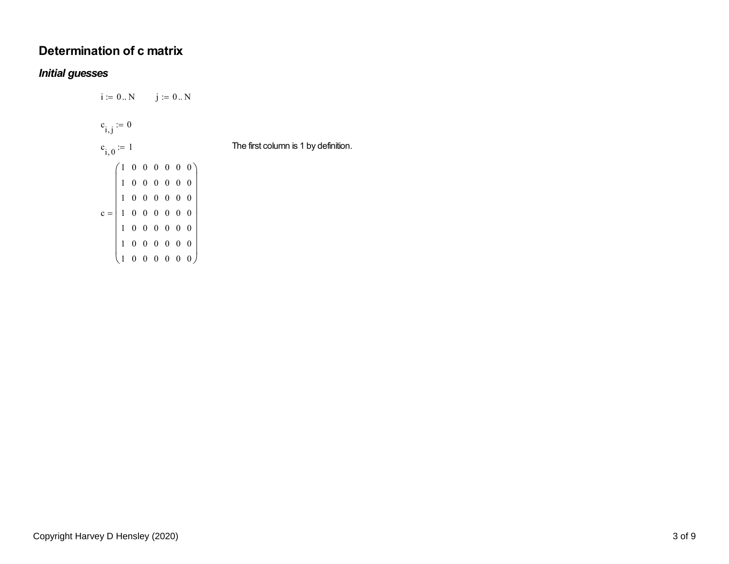## **Determination of c matrix**

#### *Initial guesses*

 $i := 0..N$   $j := 0..N$  $c_{i,j} := 0$  $c_{i, 0} := 1$  The first column is 1 by definition.  $c = 1 0 0 0 0 0 0$ 10000001 0 0 0 0 0 0 1 0 0 0 0 0 0 1 0 0 0 0 0 0 1 0 0 0 0 0 0 1 0 0 0 0 0 0  $=\left( \begin{array}{llllllll} 1&0&0&0&0&0&0\\ 1&0&0&0&0&0&0\\ 1&0&0&0&0&0&0\\ 1&0&0&0&0&0&0\\ 1&0&0&0&0&0&0\\ 1&0&0&0&0&0&0\\ 1&0&0&0&0&0&0 \end{array} \right)$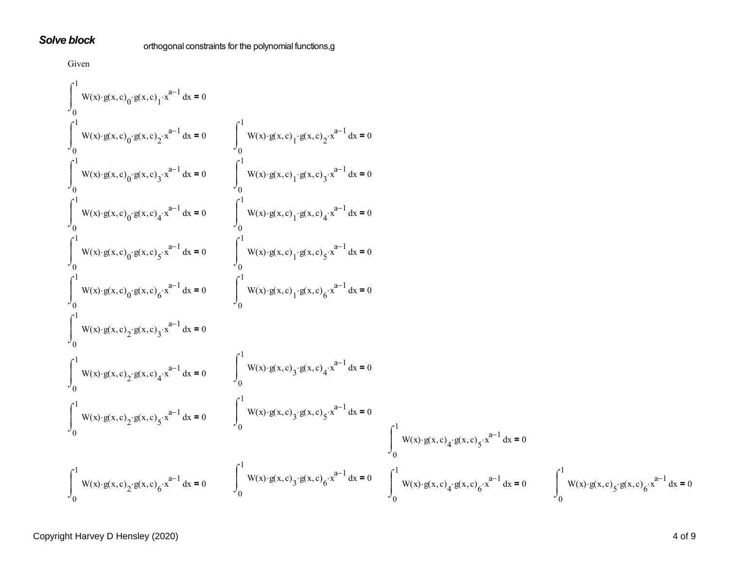#### *Solve block*

orthogonal constraints for the polynomial functions,g

Given  
\n
$$
\int_{0}^{1} W(x) \cdot g(x, c)_{0} g(x, c)_{1} x^{n-1} dx = 0
$$
\n
$$
\int_{0}^{1} W(x) \cdot g(x, c)_{0} g(x, c)_{2} x^{p-1} dx = 0
$$
\n
$$
\int_{0}^{1} W(x) \cdot g(x, c)_{0} g(x, c)_{3} x^{n-1} dx = 0
$$
\n
$$
\int_{0}^{1} W(x) \cdot g(x, c)_{1} g(x, c)_{1} x^{n-1} dx = 0
$$
\n
$$
\int_{0}^{1} W(x) \cdot g(x, c)_{0} g(x, c)_{2} x^{n-1} dx = 0
$$
\n
$$
\int_{0}^{1} W(x) \cdot g(x, c)_{1} g(x, c)_{2} x^{n-1} dx = 0
$$
\n
$$
\int_{0}^{1} W(x) \cdot g(x, c)_{0} g(x, c)_{2} x^{n-1} dx = 0
$$
\n
$$
\int_{0}^{1} W(x) \cdot g(x, c)_{1} g(x, c)_{2} x^{n-1} dx = 0
$$
\n
$$
\int_{0}^{1} W(x) \cdot g(x, c)_{0} g(x, c)_{2} x^{n-1} dx = 0
$$
\n
$$
\int_{0}^{1} W(x) \cdot g(x, c)_{2} x^{n-1} dx = 0
$$
\n
$$
\int_{0}^{1} W(x) \cdot g(x, c)_{2} x^{n-1} dx = 0
$$
\n
$$
\int_{0}^{1} W(x) \cdot g(x, c)_{2} x^{n-1} dx = 0
$$
\n
$$
\int_{0}^{1} W(x) \cdot g(x, c)_{2} g(x, c)_{2} x^{n-1} dx = 0
$$
\n
$$
\int_{0}^{1} W(x) \cdot g(x, c)_{2} g(x, c)_{2} x^{n-1} dx = 0
$$
\n
$$
\int_{0}^{1} W(x) \cdot g(x, c)_{2} g(x, c)_{2} x^{n-1} dx = 0
$$
\n
$$
\int_{0}^{1} W(x) \cdot g(x, c)_{2} g(x, c)_{3} x^{n-1} dx = 0
$$
\n
$$
\int_{0}^{1} W(x) \
$$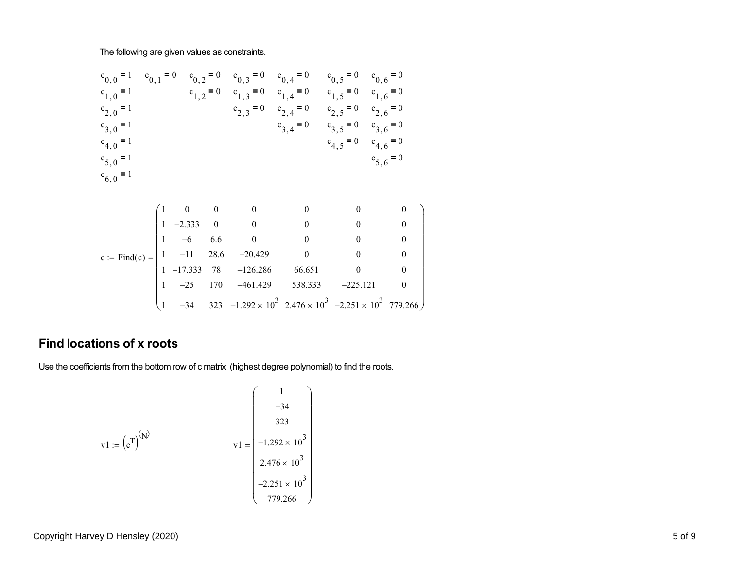The following are given values as constraints.

$$
c_{0,0} = 1 \t c_{0,1} = 0 \t c_{0,2} = 0 \t c_{0,3} = 0 \t c_{0,4} = 0 \t c_{0,5} = 0 \t c_{0,6} = 0
$$
  
\n
$$
c_{1,0} = 1 \t c_{1,2} = 0 \t c_{1,3} = 0 \t c_{1,4} = 0 \t c_{1,5} = 0 \t c_{1,6} = 0
$$
  
\n
$$
c_{2,0} = 1 \t c_{2,0} = 1 \t c_{2,3} = 0 \t c_{2,4} = 0 \t c_{2,5} = 0 \t c_{2,6} = 0
$$
  
\n
$$
c_{3,0} = 1 \t c_{3,0} = 1 \t c_{4,0} = 1
$$
  
\n
$$
c_{5,0} = 1 \t c_{5,0} = 1
$$
  
\n
$$
c_{6,0} = 1
$$
  
\n
$$
c_{6,0} = 1
$$
  
\n
$$
c_{6,1} = 0 \t c_{6,1} = 0 \t c_{6,1} = 0
$$
  
\n
$$
c_{7,2} = 0 \t c_{7,3} = 0 \t c_{7,4} = 0 \t c_{7,5} = 0
$$
  
\n
$$
c_{7,4} = 0 \t c_{7,5} = 0 \t c_{7,6} = 0
$$
  
\n
$$
c_{7,5} = 0 \t c_{7,6} = 0
$$
  
\n
$$
c_{7,6} = 0
$$
  
\n
$$
c_{7,6} = 0
$$
  
\n
$$
c_{7,6} = 0
$$
  
\n
$$
c_{7,6} = 0
$$
  
\n
$$
c_{7,6} = 0
$$
  
\n
$$
c_{7,6} = 0
$$
  
\n
$$
c_{7,6} = 0
$$
  
\n
$$
c_{7,7} = 0 \t c_{7,7} = 0 \t c_{7,7} = 0 \t c_{7,7} = 0
$$
  
\n
$$
c_{7,8} = 0 \t c_{7,9} = 0 \t c_{7,10} =
$$

$$
\begin{bmatrix} 1 & -23 & 170 & -401.429 & 338.333 & -223.121 & 0 \ 1 & -34 & 323 & -1.292 \times 10^3 & 2.476 \times 10^3 & -2.251 \times 10^3 & 779.266 \end{bmatrix}
$$

### **Find locations of x roots**

Use the coefficients from the bottom row of c matrix (highest degree polynomial) to find the roots.

$$
v1 := (c^{T})^{\langle N \rangle}
$$
  

$$
v1 = \begin{pmatrix} 1 \\ -34 \\ 323 \\ -1.292 \times 10^{3} \\ 2.476 \times 10^{3} \\ -2.251 \times 10^{3} \\ 779.266 \end{pmatrix}
$$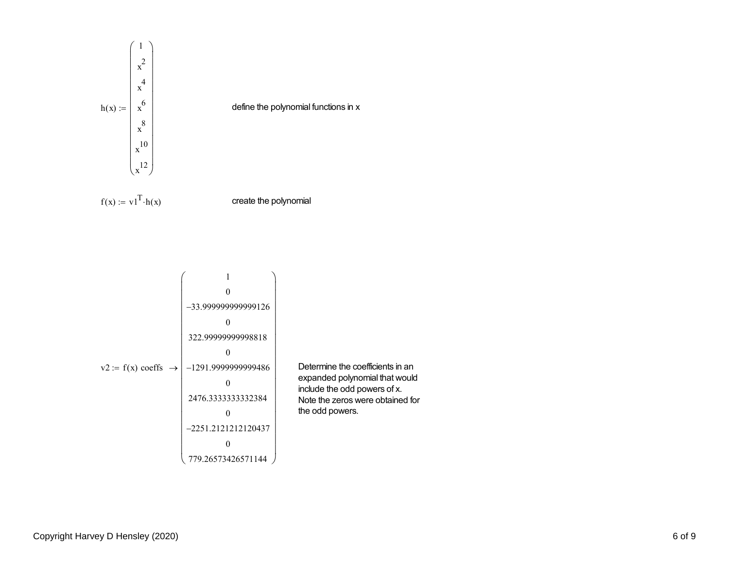

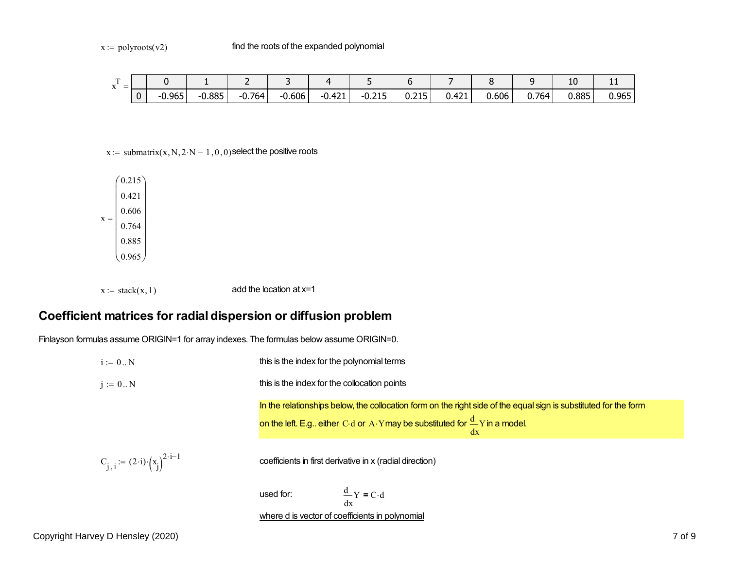| $\sim$<br>$\mathbf{v}$<br>$\overline{\phantom{0}}$<br>$\Lambda$ |   |          |          | -        |                              |          |                |              |       |       |       | 10    | . .   |
|-----------------------------------------------------------------|---|----------|----------|----------|------------------------------|----------|----------------|--------------|-------|-------|-------|-------|-------|
|                                                                 | 0 | $-0.965$ | $-0.885$ | $-0.764$ | $0.606$ <sup>1</sup><br>- 1. | $-0.421$ | 21E<br>$-0.21$ | 24F<br>0.Z15 | 0.421 | 0.606 | 0.764 | 0.885 | 0.965 |

 $x :=$  submatrix $(x, N, 2 \cdot N - 1, 0, 0)$  select the positive roots

 $X =$  $(0.215)$ 0.4210.6060.7640.885 $0.965$  $=\begin{pmatrix} 0.215 \\ 0.421 \\ 0.606 \\ 0.764 \\ 0.885 \\ 0.965 \end{pmatrix}$ 

 $x := \text{stack}(x, 1)$  add the location at  $x=1$ 

#### **Coefficient matrices for radial dispersion or diffusion problem**

Finlayson formulas assume ORIGIN=1 for array indexes. The formulas below assume ORIGIN=0.

 $i = 0..N$  this is the index for the polynomial terms  $j := 0..N$   $this$  is the index for the collocation points In the relationships below, the collocation form on the right side of the equal sign is substituted for the form on the left. E.g.. either C d or  $\frac{\mathsf{A}}{\mathsf{A} \cdot \mathsf{Y}}$ may be substituted for  $\frac{\mathsf{u}}{\mathsf{d} \mathsf{x}}$  $\frac{d}{dx}Y$  in a model.  $C_{j, i} := (2 \cdot i) \cdot (x_i)^{2 \cdot i - 1}$  coefficients in first derivative in x (radial direction) used for:x $\frac{d}{dx}Y = C \cdot d$ 

where d is vector of coefficients in polynomial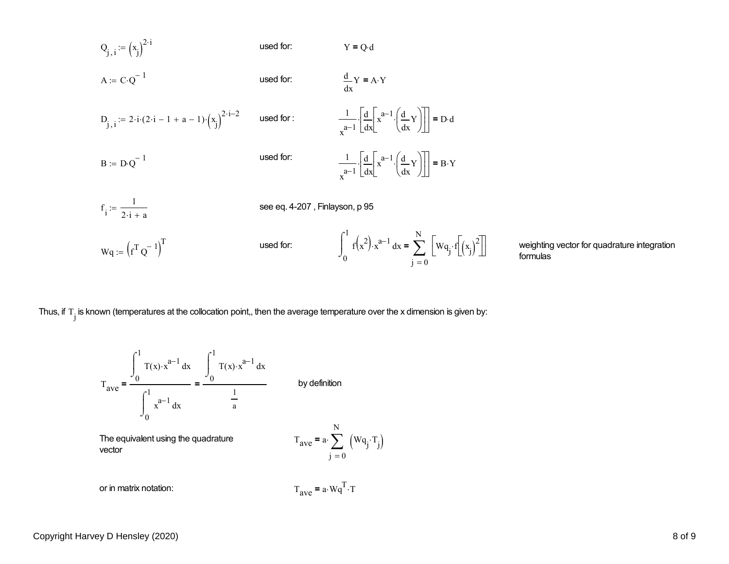$$
Q_{j,i} := (x_j)^{2 \cdot i}
$$
\nused for: 
$$
Y = Q \cdot d
$$
\n
$$
A := C \cdot Q^{-1}
$$
\nused for: 
$$
\frac{d}{dx}Y = A \cdot Y
$$
\n
$$
D_{j,i} := 2 \cdot i \cdot (2 \cdot i - 1 + a - 1) \cdot (x_j)^{2 \cdot i - 2}
$$
\nused for: 
$$
\frac{1}{x^{a-1}} \cdot \left[ \frac{d}{dx} \left[ x^{a-1} \cdot \left( \frac{d}{dx} Y \right) \right] \right] = D \cdot d
$$
\n
$$
B := D \cdot Q^{-1}
$$
\nused for: 
$$
\frac{1}{x^{a-1}} \cdot \left[ \frac{d}{dx} \left[ x^{a-1} \cdot \left( \frac{d}{dx} Y \right) \right] \right] = B \cdot Y
$$
\n
$$
f_i := \frac{1}{2 \cdot i + a}
$$
\nsee eq. 4-207, Finlyson, p 95\n
$$
Wq := (f^T Q^{-1})^T
$$
\nused for: 
$$
\int_0^1 f(x^2) \cdot x^{a-1} dx = \sum_{j=0}^N \left[ Wq_j \cdot f \left[ \left( x_j \right)^2 \right] \right]
$$
\nweighting formulas

ig vector for quadrature integration

Thus, if  $T_j$  is known (temperatures at the collocation point,, then the average temperature over the x dimension is given by:

$$
T_{ave} = \frac{\int_{0}^{1} T(x) \cdot x^{a-1} dx}{\int_{0}^{1} x^{a-1} dx} = \frac{\int_{0}^{1} T(x) \cdot x^{a-1} dx}{\frac{1}{a}}
$$
 by definition  
The equivalent using the quadrature vector  
vector  
or in matrix notation:  

$$
T_{ave} = a \cdot \sum_{j=0}^{N} (Wq_{j} \cdot T_{j})
$$

$$
T_{ave} = a \cdot Wq^{T} \cdot T
$$